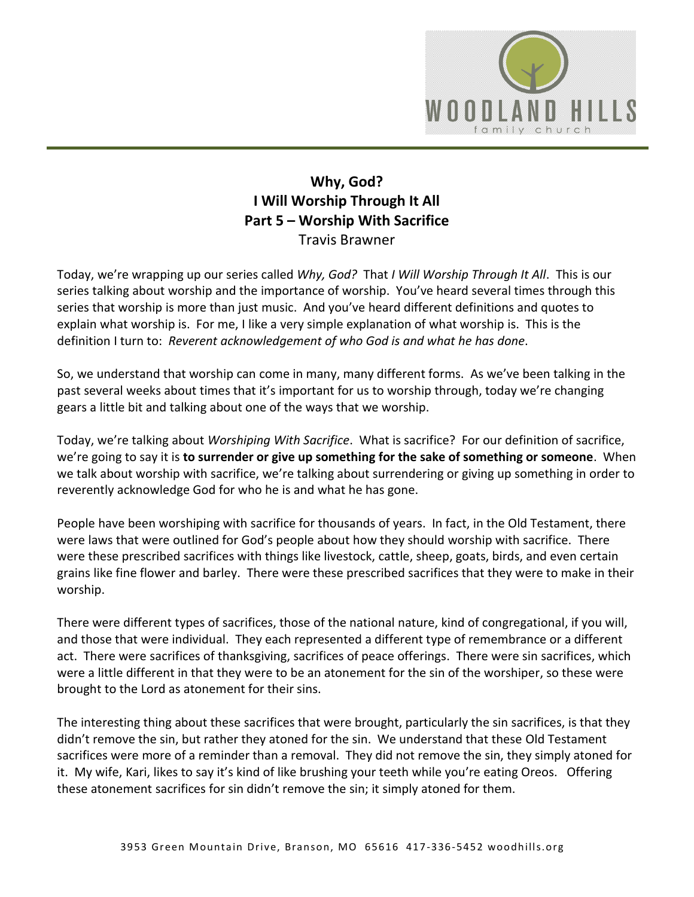

## **Why, God? I Will Worship Through It All Part 5 – Worship With Sacrifice**  Travis Brawner

Today, we're wrapping up our series called *Why, God?* That *I Will Worship Through It All*. This is our series talking about worship and the importance of worship. You've heard several times through this series that worship is more than just music. And you've heard different definitions and quotes to explain what worship is. For me, I like a very simple explanation of what worship is. This is the definition I turn to: *Reverent acknowledgement of who God is and what he has done*.

So, we understand that worship can come in many, many different forms. As we've been talking in the past several weeks about times that it's important for us to worship through, today we're changing gears a little bit and talking about one of the ways that we worship.

Today, we're talking about *Worshiping With Sacrifice*. What is sacrifice? For our definition of sacrifice, we're going to say it is **to surrender or give up something for the sake of something or someone**. When we talk about worship with sacrifice, we're talking about surrendering or giving up something in order to reverently acknowledge God for who he is and what he has gone.

People have been worshiping with sacrifice for thousands of years. In fact, in the Old Testament, there were laws that were outlined for God's people about how they should worship with sacrifice. There were these prescribed sacrifices with things like livestock, cattle, sheep, goats, birds, and even certain grains like fine flower and barley. There were these prescribed sacrifices that they were to make in their worship.

There were different types of sacrifices, those of the national nature, kind of congregational, if you will, and those that were individual. They each represented a different type of remembrance or a different act. There were sacrifices of thanksgiving, sacrifices of peace offerings. There were sin sacrifices, which were a little different in that they were to be an atonement for the sin of the worshiper, so these were brought to the Lord as atonement for their sins.

The interesting thing about these sacrifices that were brought, particularly the sin sacrifices, is that they didn't remove the sin, but rather they atoned for the sin. We understand that these Old Testament sacrifices were more of a reminder than a removal. They did not remove the sin, they simply atoned for it. My wife, Kari, likes to say it's kind of like brushing your teeth while you're eating Oreos. Offering these atonement sacrifices for sin didn't remove the sin; it simply atoned for them.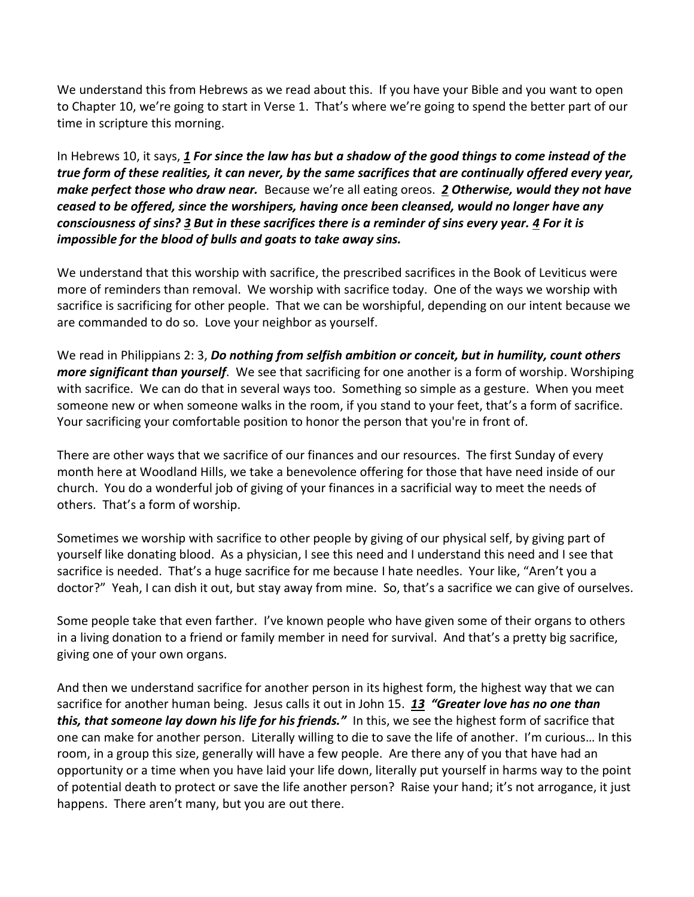We understand this from Hebrews as we read about this. If you have your Bible and you want to open to Chapter 10, we're going to start in Verse 1. That's where we're going to spend the better part of our time in scripture this morning.

In Hebrews 10, it says, *[1](https://www.studylight.org/desk/?q=heb%2010:1&t1=en_esv&sr=1) For since the law has but a shadow of the good things to come instead of the true form of these realities, it can never, by the same sacrifices that are continually offered every year, make perfect those who draw near.* Because we're all eating oreos. *[2](https://www.studylight.org/desk/?q=heb%2010:2&t1=en_esv&sr=1) Otherwise, would they not have ceased to be offered, since the worshipers, having once been cleansed, would no longer have any consciousness of sins? [3](https://www.studylight.org/desk/?q=heb%2010:3&t1=en_esv&sr=1) But in these sacrifices there is a reminder of sins every year. [4](https://www.studylight.org/desk/?q=heb%2010:4&t1=en_esv&sr=1) For it is impossible for the blood of bulls and goats to take away sins.* 

We understand that this worship with sacrifice, the prescribed sacrifices in the Book of Leviticus were more of reminders than removal. We worship with sacrifice today. One of the ways we worship with sacrifice is sacrificing for other people. That we can be worshipful, depending on our intent because we are commanded to do so. Love your neighbor as yourself.

We read in Philippians 2: 3, *Do nothing from selfish ambition or conceit, but in humility, count others more significant than yourself*. We see that sacrificing for one another is a form of worship. Worshiping with sacrifice. We can do that in several ways too. Something so simple as a gesture. When you meet someone new or when someone walks in the room, if you stand to your feet, that's a form of sacrifice. Your sacrificing your comfortable position to honor the person that you're in front of.

There are other ways that we sacrifice of our finances and our resources. The first Sunday of every month here at Woodland Hills, we take a benevolence offering for those that have need inside of our church. You do a wonderful job of giving of your finances in a sacrificial way to meet the needs of others. That's a form of worship.

Sometimes we worship with sacrifice to other people by giving of our physical self, by giving part of yourself like donating blood. As a physician, I see this need and I understand this need and I see that sacrifice is needed. That's a huge sacrifice for me because I hate needles. Your like, "Aren't you a doctor?" Yeah, I can dish it out, but stay away from mine. So, that's a sacrifice we can give of ourselves.

Some people take that even farther. I've known people who have given some of their organs to others in a living donation to a friend or family member in need for survival. And that's a pretty big sacrifice, giving one of your own organs.

And then we understand sacrifice for another person in its highest form, the highest way that we can sacrifice for another human being. Jesus calls it out in John 15. *[13](https://www.studylight.org/desk/?q=joh%2015:13&t1=en_esv&sr=1) "Greater love has no one than this, that someone lay down his life for his friends."* In this, we see the highest form of sacrifice that one can make for another person. Literally willing to die to save the life of another. I'm curious… In this room, in a group this size, generally will have a few people. Are there any of you that have had an opportunity or a time when you have laid your life down, literally put yourself in harms way to the point of potential death to protect or save the life another person? Raise your hand; it's not arrogance, it just happens. There aren't many, but you are out there.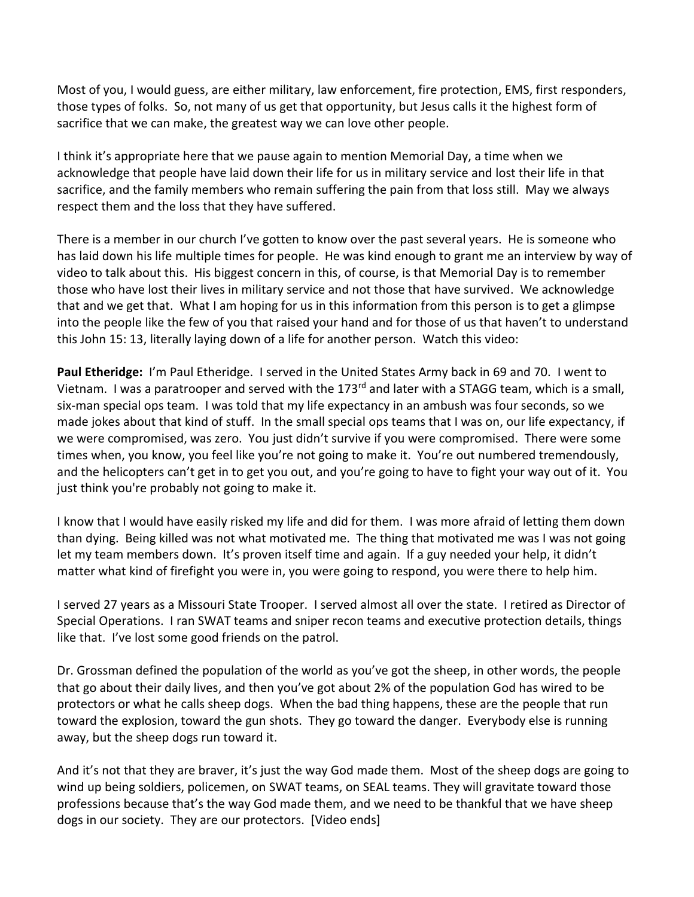Most of you, I would guess, are either military, law enforcement, fire protection, EMS, first responders, those types of folks. So, not many of us get that opportunity, but Jesus calls it the highest form of sacrifice that we can make, the greatest way we can love other people.

I think it's appropriate here that we pause again to mention Memorial Day, a time when we acknowledge that people have laid down their life for us in military service and lost their life in that sacrifice, and the family members who remain suffering the pain from that loss still. May we always respect them and the loss that they have suffered.

There is a member in our church I've gotten to know over the past several years. He is someone who has laid down his life multiple times for people. He was kind enough to grant me an interview by way of video to talk about this. His biggest concern in this, of course, is that Memorial Day is to remember those who have lost their lives in military service and not those that have survived. We acknowledge that and we get that. What I am hoping for us in this information from this person is to get a glimpse into the people like the few of you that raised your hand and for those of us that haven't to understand this John 15: 13, literally laying down of a life for another person. Watch this video:

**Paul Etheridge:** I'm Paul Etheridge. I served in the United States Army back in 69 and 70. I went to Vietnam. I was a paratrooper and served with the 173<sup>rd</sup> and later with a STAGG team, which is a small, six-man special ops team. I was told that my life expectancy in an ambush was four seconds, so we made jokes about that kind of stuff. In the small special ops teams that I was on, our life expectancy, if we were compromised, was zero. You just didn't survive if you were compromised. There were some times when, you know, you feel like you're not going to make it. You're out numbered tremendously, and the helicopters can't get in to get you out, and you're going to have to fight your way out of it. You just think you're probably not going to make it.

I know that I would have easily risked my life and did for them. I was more afraid of letting them down than dying. Being killed was not what motivated me. The thing that motivated me was I was not going let my team members down. It's proven itself time and again. If a guy needed your help, it didn't matter what kind of firefight you were in, you were going to respond, you were there to help him.

I served 27 years as a Missouri State Trooper. I served almost all over the state. I retired as Director of Special Operations. I ran SWAT teams and sniper recon teams and executive protection details, things like that. I've lost some good friends on the patrol.

Dr. Grossman defined the population of the world as you've got the sheep, in other words, the people that go about their daily lives, and then you've got about 2% of the population God has wired to be protectors or what he calls sheep dogs. When the bad thing happens, these are the people that run toward the explosion, toward the gun shots. They go toward the danger. Everybody else is running away, but the sheep dogs run toward it.

And it's not that they are braver, it's just the way God made them. Most of the sheep dogs are going to wind up being soldiers, policemen, on SWAT teams, on SEAL teams. They will gravitate toward those professions because that's the way God made them, and we need to be thankful that we have sheep dogs in our society. They are our protectors. [Video ends]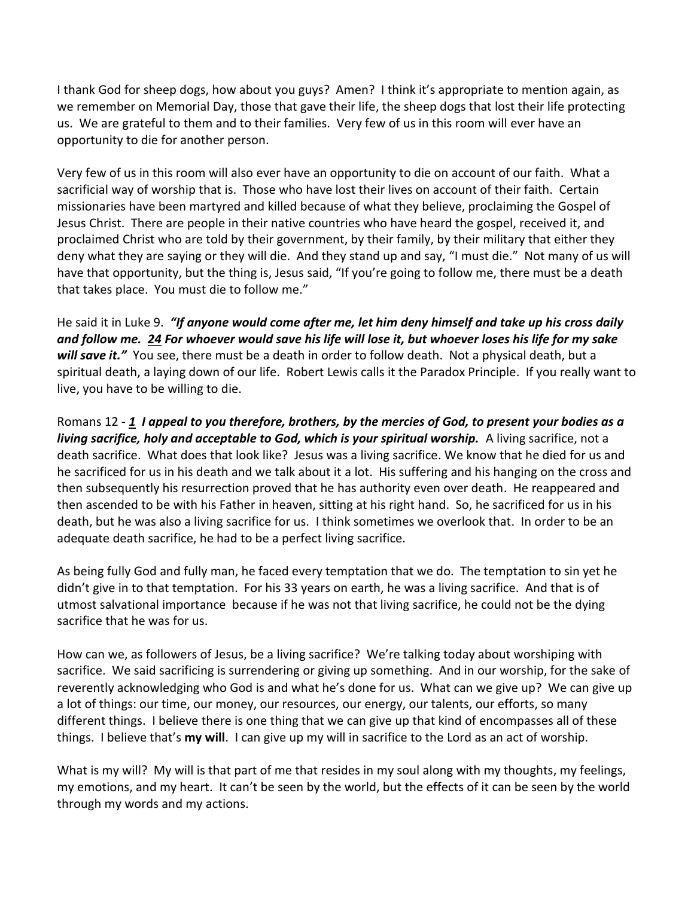I thank God for sheep dogs, how about you guys? Amen? I think it's appropriate to mention again, as we remember on Memorial Day, those that gave their life, the sheep dogs that lost their life protecting us. We are grateful to them and to their families. Very few of us in this room will ever have an opportunity to die for another person.

Very few of us in this room will also ever have an opportunity to die on account of our faith. What a sacrificial way of worship that is. Those who have lost their lives on account of their faith. Certain missionaries have been martyred and killed because of what they believe, proclaiming the Gospel of Jesus Christ. There are people in their native countries who have heard the gospel, received it, and proclaimed Christ who are told by their government, by their family, by their military that either they deny what they are saying or they will die. And they stand up and say, "I must die." Not many of us will have that opportunity, but the thing is, Jesus said, "If you're going to follow me, there must be a death that takes place. You must die to follow me."

He said it in Luke 9. *"If anyone would come after me, let him deny himself and take up his cross daily and follow me. [24](https://www.studylight.org/desk/?q=lu%209:24&t1=en_esv&sr=1) For whoever would save his life will lose it, but whoever loses his life for my sake will save it."* You see, there must be a death in order to follow death. Not a physical death, but a spiritual death, a laying down of our life. Robert Lewis calls it the Paradox Principle. If you really want to live, you have to be willing to die.

Romans 12 - *[1](https://www.studylight.org/desk/?q=ro%2012:1&t1=en_esv&sr=1) I appeal to you therefore, brothers, by the mercies of God, to present your bodies as a living sacrifice, holy and acceptable to God, which is your spiritual worship.* A living sacrifice, not a death sacrifice. What does that look like? Jesus was a living sacrifice. We know that he died for us and he sacrificed for us in his death and we talk about it a lot. His suffering and his hanging on the cross and then subsequently his resurrection proved that he has authority even over death. He reappeared and then ascended to be with his Father in heaven, sitting at his right hand. So, he sacrificed for us in his death, but he was also a living sacrifice for us. I think sometimes we overlook that. In order to be an adequate death sacrifice, he had to be a perfect living sacrifice.

As being fully God and fully man, he faced every temptation that we do. The temptation to sin yet he didn't give in to that temptation. For his 33 years on earth, he was a living sacrifice. And that is of utmost salvational importance because if he was not that living sacrifice, he could not be the dying sacrifice that he was for us.

How can we, as followers of Jesus, be a living sacrifice? We're talking today about worshiping with sacrifice. We said sacrificing is surrendering or giving up something. And in our worship, for the sake of reverently acknowledging who God is and what he's done for us. What can we give up? We can give up a lot of things: our time, our money, our resources, our energy, our talents, our efforts, so many different things. I believe there is one thing that we can give up that kind of encompasses all of these things. I believe that's **my will**. I can give up my will in sacrifice to the Lord as an act of worship.

What is my will? My will is that part of me that resides in my soul along with my thoughts, my feelings, my emotions, and my heart. It can't be seen by the world, but the effects of it can be seen by the world through my words and my actions.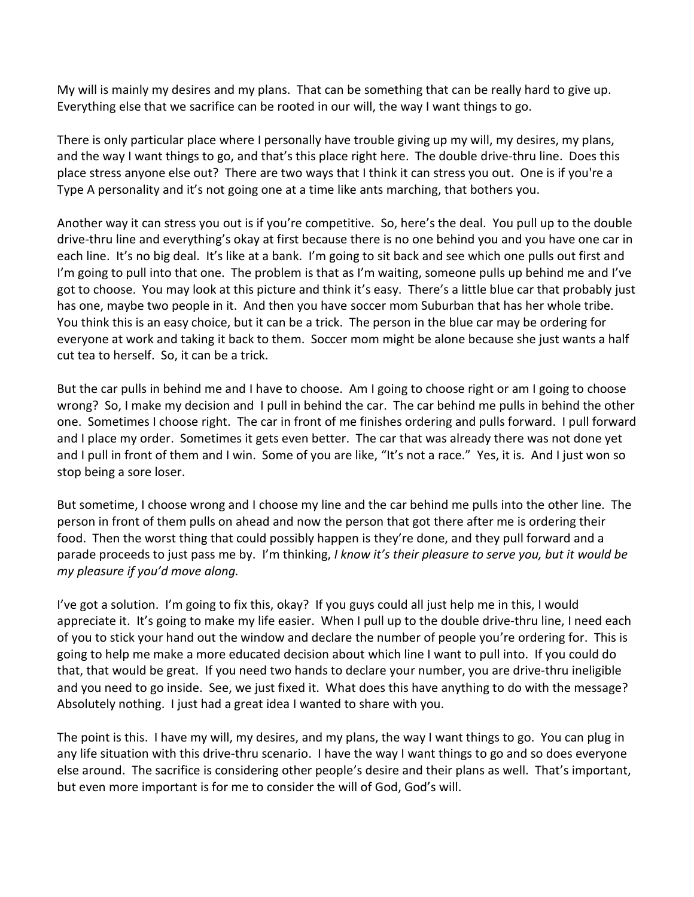My will is mainly my desires and my plans. That can be something that can be really hard to give up. Everything else that we sacrifice can be rooted in our will, the way I want things to go.

There is only particular place where I personally have trouble giving up my will, my desires, my plans, and the way I want things to go, and that's this place right here. The double drive-thru line. Does this place stress anyone else out? There are two ways that I think it can stress you out. One is if you're a Type A personality and it's not going one at a time like ants marching, that bothers you.

Another way it can stress you out is if you're competitive. So, here's the deal. You pull up to the double drive-thru line and everything's okay at first because there is no one behind you and you have one car in each line. It's no big deal. It's like at a bank. I'm going to sit back and see which one pulls out first and I'm going to pull into that one. The problem is that as I'm waiting, someone pulls up behind me and I've got to choose. You may look at this picture and think it's easy. There's a little blue car that probably just has one, maybe two people in it. And then you have soccer mom Suburban that has her whole tribe. You think this is an easy choice, but it can be a trick. The person in the blue car may be ordering for everyone at work and taking it back to them. Soccer mom might be alone because she just wants a half cut tea to herself. So, it can be a trick.

But the car pulls in behind me and I have to choose. Am I going to choose right or am I going to choose wrong? So, I make my decision and I pull in behind the car. The car behind me pulls in behind the other one. Sometimes I choose right. The car in front of me finishes ordering and pulls forward. I pull forward and I place my order. Sometimes it gets even better. The car that was already there was not done yet and I pull in front of them and I win. Some of you are like, "It's not a race." Yes, it is. And I just won so stop being a sore loser.

But sometime, I choose wrong and I choose my line and the car behind me pulls into the other line. The person in front of them pulls on ahead and now the person that got there after me is ordering their food. Then the worst thing that could possibly happen is they're done, and they pull forward and a parade proceeds to just pass me by. I'm thinking, *I know it's their pleasure to serve you, but it would be my pleasure if you'd move along.* 

I've got a solution. I'm going to fix this, okay? If you guys could all just help me in this, I would appreciate it. It's going to make my life easier. When I pull up to the double drive-thru line, I need each of you to stick your hand out the window and declare the number of people you're ordering for. This is going to help me make a more educated decision about which line I want to pull into. If you could do that, that would be great. If you need two hands to declare your number, you are drive-thru ineligible and you need to go inside. See, we just fixed it. What does this have anything to do with the message? Absolutely nothing. I just had a great idea I wanted to share with you.

The point is this. I have my will, my desires, and my plans, the way I want things to go. You can plug in any life situation with this drive-thru scenario. I have the way I want things to go and so does everyone else around. The sacrifice is considering other people's desire and their plans as well. That's important, but even more important is for me to consider the will of God, God's will.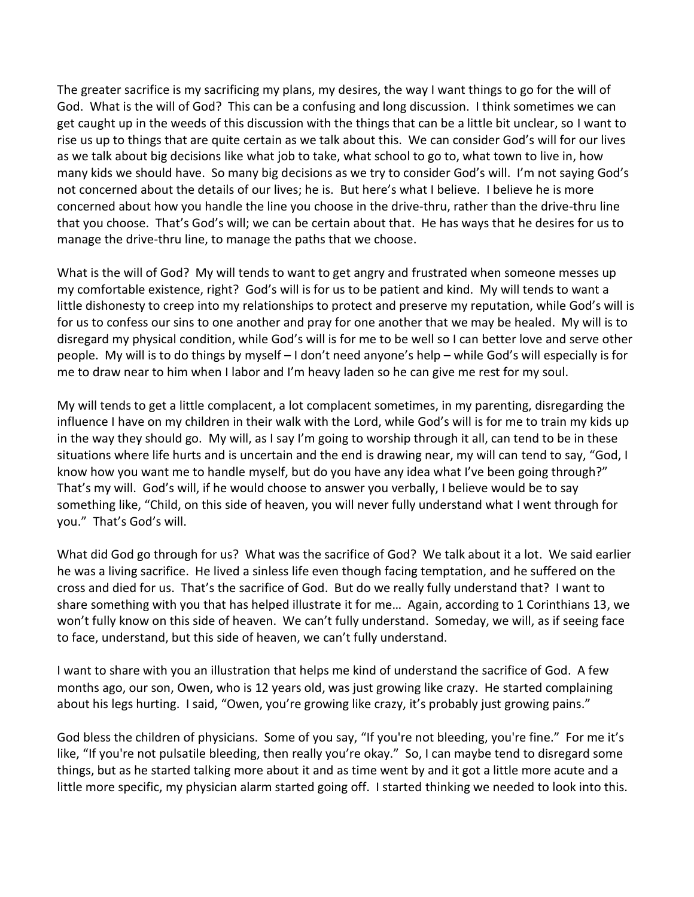The greater sacrifice is my sacrificing my plans, my desires, the way I want things to go for the will of God. What is the will of God? This can be a confusing and long discussion. I think sometimes we can get caught up in the weeds of this discussion with the things that can be a little bit unclear, so I want to rise us up to things that are quite certain as we talk about this. We can consider God's will for our lives as we talk about big decisions like what job to take, what school to go to, what town to live in, how many kids we should have. So many big decisions as we try to consider God's will. I'm not saying God's not concerned about the details of our lives; he is. But here's what I believe. I believe he is more concerned about how you handle the line you choose in the drive-thru, rather than the drive-thru line that you choose. That's God's will; we can be certain about that. He has ways that he desires for us to manage the drive-thru line, to manage the paths that we choose.

What is the will of God? My will tends to want to get angry and frustrated when someone messes up my comfortable existence, right? God's will is for us to be patient and kind. My will tends to want a little dishonesty to creep into my relationships to protect and preserve my reputation, while God's will is for us to confess our sins to one another and pray for one another that we may be healed. My will is to disregard my physical condition, while God's will is for me to be well so I can better love and serve other people. My will is to do things by myself – I don't need anyone's help – while God's will especially is for me to draw near to him when I labor and I'm heavy laden so he can give me rest for my soul.

My will tends to get a little complacent, a lot complacent sometimes, in my parenting, disregarding the influence I have on my children in their walk with the Lord, while God's will is for me to train my kids up in the way they should go. My will, as I say I'm going to worship through it all, can tend to be in these situations where life hurts and is uncertain and the end is drawing near, my will can tend to say, "God, I know how you want me to handle myself, but do you have any idea what I've been going through?" That's my will. God's will, if he would choose to answer you verbally, I believe would be to say something like, "Child, on this side of heaven, you will never fully understand what I went through for you." That's God's will.

What did God go through for us? What was the sacrifice of God? We talk about it a lot. We said earlier he was a living sacrifice. He lived a sinless life even though facing temptation, and he suffered on the cross and died for us. That's the sacrifice of God. But do we really fully understand that? I want to share something with you that has helped illustrate it for me… Again, according to 1 Corinthians 13, we won't fully know on this side of heaven. We can't fully understand. Someday, we will, as if seeing face to face, understand, but this side of heaven, we can't fully understand.

I want to share with you an illustration that helps me kind of understand the sacrifice of God. A few months ago, our son, Owen, who is 12 years old, was just growing like crazy. He started complaining about his legs hurting. I said, "Owen, you're growing like crazy, it's probably just growing pains."

God bless the children of physicians. Some of you say, "If you're not bleeding, you're fine." For me it's like, "If you're not pulsatile bleeding, then really you're okay." So, I can maybe tend to disregard some things, but as he started talking more about it and as time went by and it got a little more acute and a little more specific, my physician alarm started going off. I started thinking we needed to look into this.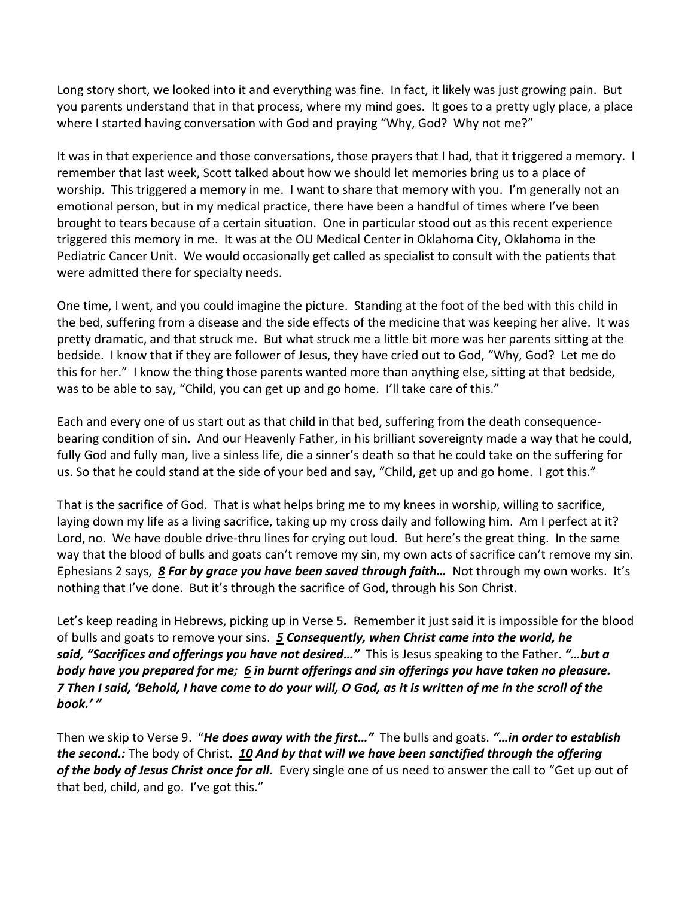Long story short, we looked into it and everything was fine. In fact, it likely was just growing pain. But you parents understand that in that process, where my mind goes. It goes to a pretty ugly place, a place where I started having conversation with God and praying "Why, God? Why not me?"

It was in that experience and those conversations, those prayers that I had, that it triggered a memory. I remember that last week, Scott talked about how we should let memories bring us to a place of worship. This triggered a memory in me. I want to share that memory with you. I'm generally not an emotional person, but in my medical practice, there have been a handful of times where I've been brought to tears because of a certain situation. One in particular stood out as this recent experience triggered this memory in me. It was at the OU Medical Center in Oklahoma City, Oklahoma in the Pediatric Cancer Unit. We would occasionally get called as specialist to consult with the patients that were admitted there for specialty needs.

One time, I went, and you could imagine the picture. Standing at the foot of the bed with this child in the bed, suffering from a disease and the side effects of the medicine that was keeping her alive. It was pretty dramatic, and that struck me. But what struck me a little bit more was her parents sitting at the bedside. I know that if they are follower of Jesus, they have cried out to God, "Why, God? Let me do this for her." I know the thing those parents wanted more than anything else, sitting at that bedside, was to be able to say, "Child, you can get up and go home. I'll take care of this."

Each and every one of us start out as that child in that bed, suffering from the death consequencebearing condition of sin. And our Heavenly Father, in his brilliant sovereignty made a way that he could, fully God and fully man, live a sinless life, die a sinner's death so that he could take on the suffering for us. So that he could stand at the side of your bed and say, "Child, get up and go home. I got this."

That is the sacrifice of God. That is what helps bring me to my knees in worship, willing to sacrifice, laying down my life as a living sacrifice, taking up my cross daily and following him. Am I perfect at it? Lord, no. We have double drive-thru lines for crying out loud. But here's the great thing. In the same way that the blood of bulls and goats can't remove my sin, my own acts of sacrifice can't remove my sin. Ephesians 2 says, *[8](https://www.studylight.org/desk/?q=eph%202:8&t1=en_esv&sr=1) For by grace you have been saved through faith…* Not through my own works. It's nothing that I've done. But it's through the sacrifice of God, through his Son Christ.

Let's keep reading in Hebrews, picking up in Verse 5*.* Remember it just said it is impossible for the blood of bulls and goats to remove your sins. *[5](https://www.studylight.org/desk/?q=heb%2010:5&t1=en_esv&sr=1) Consequently, when Christ came into the world, he said, "Sacrifices and offerings you have not desired…"* This is Jesus speaking to the Father. *"…but a body have you prepared for me; [6](https://www.studylight.org/desk/?q=heb%2010:6&t1=en_esv&sr=1) in burnt offerings and sin offerings you have taken no pleasure. [7](https://www.studylight.org/desk/?q=heb%2010:7&t1=en_esv&sr=1) Then I said, 'Behold, I have come to do your will, O God, as it is written of me in the scroll of the book.' "*

Then we skip to Verse 9. "*He does away with the first…"* The bulls and goats. *"…in order to establish the second.:* The body of Christ. *[10](https://www.studylight.org/desk/?q=heb%2010:10&t1=en_esv&sr=1) And by that will we have been sanctified through the offering of the body of Jesus Christ once for all.* Every single one of us need to answer the call to "Get up out of that bed, child, and go. I've got this."